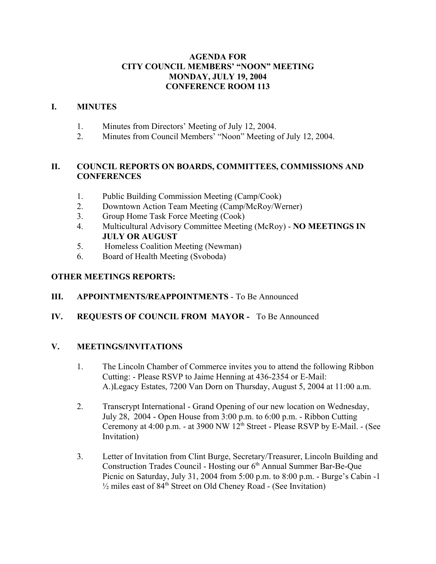#### **AGENDA FOR CITY COUNCIL MEMBERS' "NOON" MEETING MONDAY, JULY 19, 2004 CONFERENCE ROOM 113**

#### **I. MINUTES**

- 1. Minutes from Directors' Meeting of July 12, 2004.
- 2. Minutes from Council Members' "Noon" Meeting of July 12, 2004.

#### **II. COUNCIL REPORTS ON BOARDS, COMMITTEES, COMMISSIONS AND CONFERENCES**

- 1. Public Building Commission Meeting (Camp/Cook)
- 2. Downtown Action Team Meeting (Camp/McRoy/Werner)
- 3. Group Home Task Force Meeting (Cook)
- 4. Multicultural Advisory Committee Meeting (McRoy) **NO MEETINGS IN JULY OR AUGUST**
- 5. Homeless Coalition Meeting (Newman)
- 6. Board of Health Meeting (Svoboda)

# **OTHER MEETINGS REPORTS:**

# **III. APPOINTMENTS/REAPPOINTMENTS** - To Be Announced

# **IV. REQUESTS OF COUNCIL FROM MAYOR -** To Be Announced

#### **V. MEETINGS/INVITATIONS**

- 1. The Lincoln Chamber of Commerce invites you to attend the following Ribbon Cutting: - Please RSVP to Jaime Henning at 436-2354 or E-Mail: A.)Legacy Estates, 7200 Van Dorn on Thursday, August 5, 2004 at 11:00 a.m.
- 2. Transcrypt International Grand Opening of our new location on Wednesday, July 28, 2004 - Open House from 3:00 p.m. to 6:00 p.m. - Ribbon Cutting Ceremony at  $4:00$  p.m. - at  $3900$  NW  $12<sup>th</sup>$  Street - Please RSVP by E-Mail. - (See Invitation)
- 3. Letter of Invitation from Clint Burge, Secretary/Treasurer, Lincoln Building and Construction Trades Council - Hosting our 6<sup>th</sup> Annual Summer Bar-Be-Que Picnic on Saturday, July 31, 2004 from 5:00 p.m. to 8:00 p.m. - Burge's Cabin -1  $\frac{1}{2}$  miles east of 84<sup>th</sup> Street on Old Cheney Road - (See Invitation)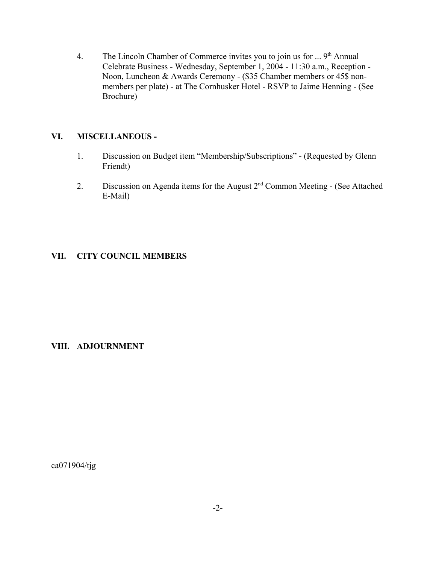4. The Lincoln Chamber of Commerce invites you to join us for  $\ldots$  9<sup>th</sup> Annual Celebrate Business - Wednesday, September 1, 2004 - 11:30 a.m., Reception - Noon, Luncheon & Awards Ceremony - (\$35 Chamber members or 45\$ nonmembers per plate) - at The Cornhusker Hotel - RSVP to Jaime Henning - (See Brochure)

#### **VI. MISCELLANEOUS -**

- 1. Discussion on Budget item "Membership/Subscriptions" (Requested by Glenn Friendt)
- 2. Discussion on Agenda items for the August  $2<sup>nd</sup>$  Common Meeting (See Attached E-Mail)

#### **VII. CITY COUNCIL MEMBERS**

#### **VIII. ADJOURNMENT**

ca071904/tjg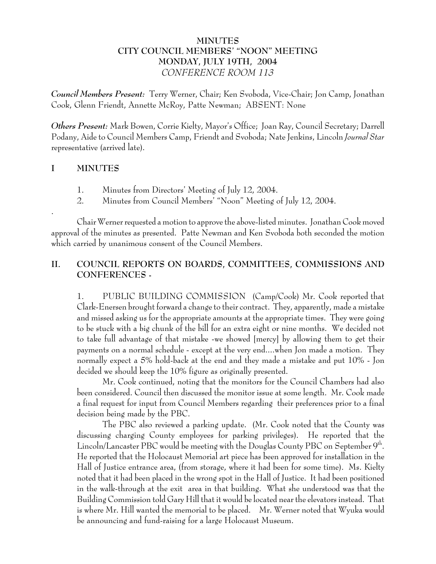#### **MINUTES CITY COUNCIL MEMBERS' "NOON" MEETING MONDAY, JULY 19TH, 2004** *CONFERENCE ROOM 113*

*Council Members Present:* Terry Werner, Chair; Ken Svoboda, Vice-Chair; Jon Camp, Jonathan Cook, Glenn Friendt, Annette McRoy, Patte Newman; ABSENT: None

*Others Present:* Mark Bowen, Corrie Kielty, Mayor's Office; Joan Ray, Council Secretary; Darrell Podany, Aide to Council Members Camp, Friendt and Svoboda; Nate Jenkins, Lincoln *Journal Star* representative (arrived late).

# **I MINUTES**

.

- 1. Minutes from Directors' Meeting of July 12, 2004.
- 2. Minutes from Council Members' "Noon" Meeting of July 12, 2004.

Chair Werner requested a motion to approve the above-listed minutes. Jonathan Cook moved approval of the minutes as presented. Patte Newman and Ken Svoboda both seconded the motion which carried by unanimous consent of the Council Members.

# **II. COUNCIL REPORTS ON BOARDS, COMMITTEES, COMMISSIONS AND CONFERENCES -**

1. PUBLIC BUILDING COMMISSION (Camp/Cook) Mr. Cook reported that Clark-Enersen brought forward a change to their contract. They, apparently, made a mistake and missed asking us for the appropriate amounts at the appropriate times. They were going to be stuck with a big chunk of the bill for an extra eight or nine months. We decided not to take full advantage of that mistake -we showed [mercy] by allowing them to get their payments on a normal schedule - except at the very end....when Jon made a motion. They normally expect a 5% hold-back at the end and they made a mistake and put 10% - Jon decided we should keep the 10% figure as originally presented.

Mr. Cook continued, noting that the monitors for the Council Chambers had also been considered. Council then discussed the monitor issue at some length. Mr. Cook made a final request for input from Council Members regarding their preferences prior to a final decision being made by the PBC.

The PBC also reviewed a parking update. (Mr. Cook noted that the County was discussing charging County employees for parking privileges). He reported that the Lincoln/Lancaster PBC would be meeting with the Douglas County PBC on September 9th. He reported that the Holocaust Memorial art piece has been approved for installation in the Hall of Justice entrance area, (from storage, where it had been for some time). Ms. Kielty noted that it had been placed in the wrong spot in the Hall of Justice. It had been positioned in the walk-through at the exit area in that building. What she understood was that the Building Commission told Gary Hill that it would be located near the elevators instead. That is where Mr. Hill wanted the memorial to be placed. Mr. Werner noted that Wyuka would be announcing and fund-raising for a large Holocaust Museum.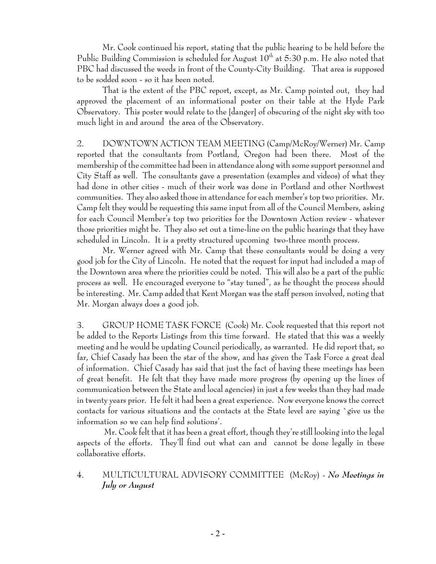Mr. Cook continued his report, stating that the public hearing to be held before the Public Building Commission is scheduled for August  $10<sup>th</sup>$  at 5:30 p.m. He also noted that PBC had discussed the weeds in front of the County-City Building. That area is supposed to be sodded soon - so it has been noted.

That is the extent of the PBC report, except, as Mr. Camp pointed out, they had approved the placement of an informational poster on their table at the Hyde Park Observatory. This poster would relate to the [danger] of obscuring of the night sky with too much light in and around the area of the Observatory.

2. DOWNTOWN ACTION TEAM MEETING (Camp/McRoy/Werner) Mr. Camp reported that the consultants from Portland, Oregon had been there. Most of the membership of the committee had been in attendance along with some support personnel and City Staff as well. The consultants gave a presentation (examples and videos) of what they had done in other cities - much of their work was done in Portland and other Northwest communities. They also asked those in attendance for each member's top two priorities. Mr. Camp felt they would be requesting this same input from all of the Council Members, asking for each Council Member's top two priorities for the Downtown Action review - whatever those priorities might be. They also set out a time-line on the public hearings that they have scheduled in Lincoln. It is a pretty structured upcoming two-three month process.

Mr. Werner agreed with Mr. Camp that these consultants would be doing a very good job for the City of Lincoln. He noted that the request for input had included a map of the Downtown area where the priorities could be noted. This will also be a part of the public process as well. He encouraged everyone to "stay tuned", as he thought the process should be interesting. Mr. Camp added that Kent Morgan was the staff person involved, noting that Mr. Morgan always does a good job.

3. GROUP HOME TASK FORCE (Cook) Mr. Cook requested that this report not be added to the Reports Listings from this time forward. He stated that this was a weekly meeting and he would be updating Council periodically, as warranted. He did report that, so far, Chief Casady has been the star of the show, and has given the Task Force a great deal of information. Chief Casady has said that just the fact of having these meetings has been of great benefit. He felt that they have made more progress (by opening up the lines of communication between the State and local agencies) in just a few weeks than they had made in twenty years prior. He felt it had been a great experience. Now everyone knows the correct contacts for various situations and the contacts at the State level are saying `give us the information so we can help find solutions'.

 Mr. Cook felt that it has been a great effort, though they're still looking into the legal aspects of the efforts. They'll find out what can and cannot be done legally in these collaborative efforts.

# 4. MULTICULTURAL ADVISORY COMMITTEE (McRoy) - *No Meetings in July or August*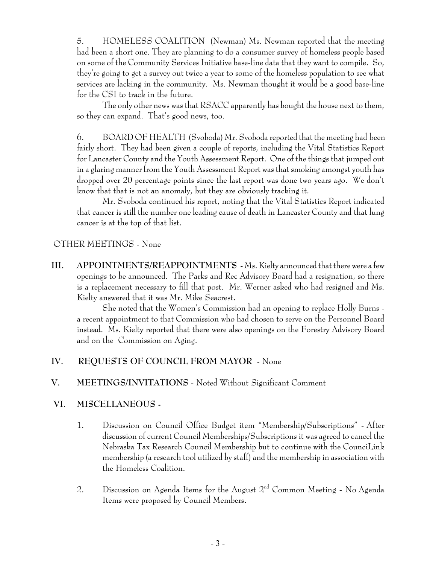5. HOMELESS COALITION (Newman) Ms. Newman reported that the meeting had been a short one. They are planning to do a consumer survey of homeless people based on some of the Community Services Initiative base-line data that they want to compile. So, they're going to get a survey out twice a year to some of the homeless population to see what services are lacking in the community. Ms. Newman thought it would be a good base-line for the CSI to track in the future.

The only other news was that RSACC apparently has bought the house next to them, so they can expand. That's good news, too.

6. BOARD OF HEALTH (Svoboda) Mr. Svoboda reported that the meeting had been fairly short. They had been given a couple of reports, including the Vital Statistics Report for Lancaster County and the Youth Assessment Report. One of the things that jumped out in a glaring manner from the Youth Assessment Report was that smoking amongst youth has dropped over 20 percentage points since the last report was done two years ago. We don't know that that is not an anomaly, but they are obviously tracking it.

Mr. Svoboda continued his report, noting that the Vital Statistics Report indicated that cancer is still the number one leading cause of death in Lancaster County and that lung cancer is at the top of that list.

# OTHER MEETINGS - None

**III. APPOINTMENTS/REAPPOINTMENTS -** Ms. Kielty announced that there were a few openings to be announced. The Parks and Rec Advisory Board had a resignation, so there is a replacement necessary to fill that post. Mr. Werner asked who had resigned and Ms. Kielty answered that it was Mr. Mike Seacrest.

She noted that the Women's Commission had an opening to replace Holly Burns a recent appointment to that Commission who had chosen to serve on the Personnel Board instead. Ms. Kielty reported that there were also openings on the Forestry Advisory Board and on the Commission on Aging.

# **IV. REQUESTS OF COUNCIL FROM MAYOR** - None

# **V. MEETINGS/INVITATIONS** - Noted Without Significant Comment

# **VI. MISCELLANEOUS -**

- 1. Discussion on Council Office Budget item "Membership/Subscriptions" After discussion of current Council Memberships/Subscriptions it was agreed to cancel the Nebraska Tax Research Council Membership but to continue with the CounciLink membership (a research tool utilized by staff) and the membership in association with the Homeless Coalition.
- 2. Discussion on Agenda Items for the August  $2<sup>nd</sup>$  Common Meeting No Agenda Items were proposed by Council Members.